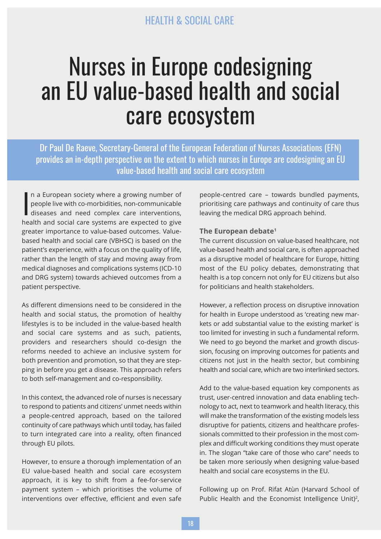# Nurses in Europe codesigning an EU value-based health and social care ecosystem

Dr Paul De Raeve, Secretary-General of the European Federation of Nurses Associations (EFN) provides an in-depth perspective on the extent to which nurses in Europe are codesigning an EU value-based health and social care ecosystem

 $\prod_{\text{hei}}$ n a European society where a growing number of people live with co-morbidities, non-communicable diseases and need complex care interventions, health and social care systems are expected to give greater importance to value-based outcomes. Valuebased health and social care (VBHSC) is based on the patient's experience, with a focus on the quality of life, rather than the length of stay and moving away from medical diagnoses and complications systems (ICD-10 and DRG system) towards achieved outcomes from a patient perspective.

As different dimensions need to be considered in the health and social status, the promotion of healthy lifestyles is to be included in the value-based health and social care systems and as such, patients, providers and researchers should co-design the reforms needed to achieve an inclusive system for both prevention and promotion, so that they are stepping in before you get a disease. This approach refers to both self-management and co-responsibility.

In this context, the advanced role of nurses is necessary to respond to patients and citizens' unmet needs within a people-centred approach, based on the tailored continuity of care pathways which until today, has failed to turn integrated care into a reality, often financed through EU pilots.

However, to ensure a thorough implementation of an EU value-based health and social care ecosystem approach, it is key to shift from a fee-for-service payment system – which prioritises the volume of interventions over effective, efficient and even safe

people-centred care – towards bundled payments, prioritising care pathways and continuity of care thus leaving the medical DRG approach behind.

### **The European debate<sup>1</sup>**

The current discussion on value-based healthcare, not value-based health and social care, is often approached as a disruptive model of healthcare for Europe, hitting most of the EU policy debates, demonstrating that health is a top concern not only for EU citizens but also for politicians and health stakeholders.

However, a reflection process on disruptive innovation for health in Europe understood as 'creating new markets or add substantial value to the existing market' is too limited for investing in such a fundamental reform. We need to go beyond the market and growth discussion, focusing on improving outcomes for patients and citizens not just in the health sector, but combining health and social care, which are two interlinked sectors.

Add to the value-based equation key components as trust, user-centred innovation and data enabling technology to act, next to teamwork and health literacy, this will make the transformation of the existing models less disruptive for patients, citizens and healthcare professionals committed to their profession in the most complex and difficult working conditions they must operate in. The slogan "take care of those who care" needs to be taken more seriously when designing value-based health and social care ecosystems in the EU.

Following up on Prof. Rifat Atùn (Harvard School of Public Health and the Economist Intelligence Unit)<sup>2</sup>,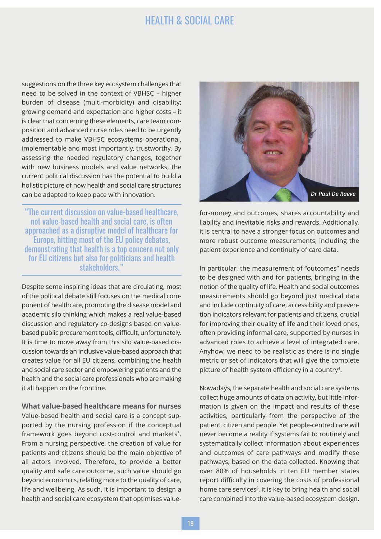suggestions on the three key ecosystem challenges that need to be solved in the context of VBHSC – higher burden of disease (multi-morbidity) and disability; growing demand and expectation and higher costs – it is clear that concerning these elements, care team composition and advanced nurse roles need to be urgently addressed to make VBHSC ecosystems operational, implementable and most importantly, trustworthy. By assessing the needed regulatory changes, together with new business models and value networks, the current political discussion has the potential to build a holistic picture of how health and social care structures can be adapted to keep pace with innovation.

"The current discussion on value-based healthcare, not value-based health and social care, is often approached as a disruptive model of healthcare for Europe, hitting most of the EU policy debates, demonstrating that health is a top concern not only for EU citizens but also for politicians and health stakeholders."

Despite some inspiring ideas that are circulating, most of the political debate still focuses on the medical component of healthcare, promoting the disease model and academic silo thinking which makes a real value-based discussion and regulatory co-designs based on valuebased public procurement tools, difficult, unfortunately. It is time to move away from this silo value-based discussion towards an inclusive value-based approach that creates value for all EU citizens, combining the health and social care sector and empowering patients and the health and the social care professionals who are making it all happen on the frontline.

**What value-based healthcare means for nurses** Value-based health and social care is a concept supported by the nursing profession if the conceptual framework goes beyond cost-control and markets<sup>3</sup>. From a nursing perspective, the creation of value for patients and citizens should be the main objective of all actors involved. Therefore, to provide a better quality and safe care outcome, such value should go beyond economics, relating more to the quality of care, life and wellbeing. As such, it is important to design a health and social care ecosystem that optimises value-



for-money and outcomes, shares accountability and liability and inevitable risks and rewards. Additionally, it is central to have a stronger focus on outcomes and more robust outcome measurements, including the patient experience and continuity of care data.

In particular, the measurement of "outcomes" needs to be designed with and for patients, bringing in the notion of the quality of life. Health and social outcomes measurements should go beyond just medical data and include continuity of care, accessibility and prevention indicators relevant for patients and citizens, crucial for improving their quality of life and their loved ones, often providing informal care, supported by nurses in advanced roles to achieve a level of integrated care. Anyhow, we need to be realistic as there is no single metric or set of indicators that will give the complete picture of health system efficiency in a country $\raisebox{.5mm}{\text{4}}.$ 

Nowadays, the separate health and social care systems collect huge amounts of data on activity, but little information is given on the impact and results of these activities, particularly from the perspective of the patient, citizen and people. Yet people-centred care will never become a reality if systems fail to routinely and systematically collect information about experiences and outcomes of care pathways and modify these pathways, based on the data collected. Knowing that over 80% of households in ten EU member states report difficulty in covering the costs of professional home care services<sup>5</sup>, it is key to bring health and social care combined into the value-based ecosystem design.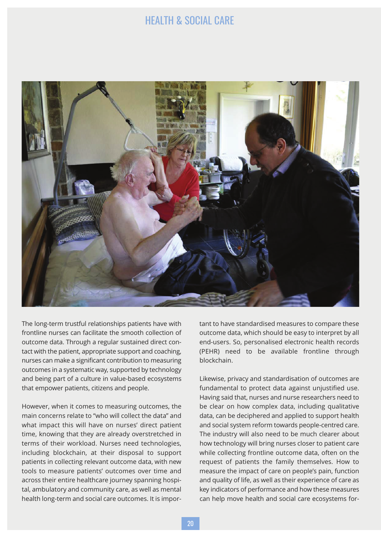

The long-term trustful relationships patients have with frontline nurses can facilitate the smooth collection of outcome data. Through a regular sustained direct contact with the patient, appropriate support and coaching, nurses can make a significant contribution to measuring outcomes in a systematic way, supported by technology and being part of a culture in value-based ecosystems that empower patients, citizens and people.

However, when it comes to measuring outcomes, the main concerns relate to "who will collect the data" and what impact this will have on nurses' direct patient time, knowing that they are already overstretched in terms of their workload. Nurses need technologies, including blockchain, at their disposal to support patients in collecting relevant outcome data, with new tools to measure patients' outcomes over time and across their entire healthcare journey spanning hospital, ambulatory and community care, as well as mental health long-term and social care outcomes. It is important to have standardised measures to compare these outcome data, which should be easy to interpret by all end-users. So, personalised electronic health records (PEHR) need to be available frontline through blockchain.

Likewise, privacy and standardisation of outcomes are fundamental to protect data against unjustified use. Having said that, nurses and nurse researchers need to be clear on how complex data, including qualitative data, can be deciphered and applied to support health and social system reform towards people-centred care. The industry will also need to be much clearer about how technology will bring nurses closer to patient care while collecting frontline outcome data, often on the request of patients the family themselves. How to measure the impact of care on people's pain, function and quality of life, as well as their experience of care as key indicators of performance and how these measures can help move health and social care ecosystems for-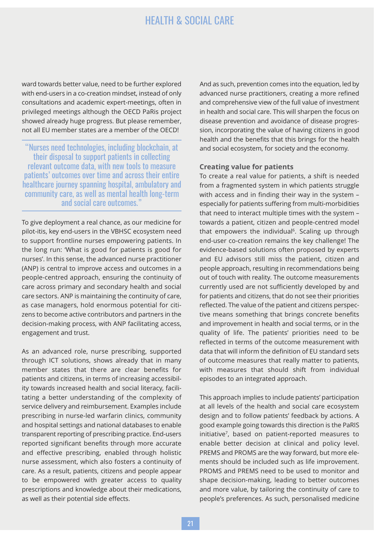ward towards better value, need to be further explored with end-users in a co-creation mindset, instead of only consultations and academic expert-meetings, often in privileged meetings although the OECD PaRis project showed already huge progress. But please remember, not all EU member states are a member of the OECD!

"Nurses need technologies, including blockchain, at their disposal to support patients in collecting relevant outcome data, with new tools to measure patients' outcomes over time and across their entire healthcare journey spanning hospital, ambulatory and community care, as well as mental health long-term and social care outcomes."

To give deployment a real chance, as our medicine for pilot-itis, key end-users in the VBHSC ecosystem need to support frontline nurses empowering patients. In the long run: 'What is good for patients is good for nurses'. In this sense, the advanced nurse practitioner (ANP) is central to improve access and outcomes in a people-centred approach, ensuring the continuity of care across primary and secondary health and social care sectors. ANP is maintaining the continuity of care, as case managers, hold enormous potential for citizens to become active contributors and partners in the decision-making process, with ANP facilitating access, engagement and trust.

As an advanced role, nurse prescribing, supported through ICT solutions, shows already that in many member states that there are clear benefits for patients and citizens, in terms of increasing accessibility towards increased health and social literacy, facilitating a better understanding of the complexity of service delivery and reimbursement. Examples include prescribing in nurse-led warfarin clinics, community and hospital settings and national databases to enable transparent reporting of prescribing practice. End-users reported significant benefits through more accurate and effective prescribing, enabled through holistic nurse assessment, which also fosters a continuity of care. As a result, patients, citizens and people appear to be empowered with greater access to quality prescriptions and knowledge about their medications, as well as their potential side effects.

And as such, prevention comes into the equation, led by advanced nurse practitioners, creating a more refined and comprehensive view of the full value of investment in health and social care. This will sharpen the focus on disease prevention and avoidance of disease progression, incorporating the value of having citizens in good health and the benefits that this brings for the health and social ecosystem, for society and the economy.

#### **Creating value for patients**

To create a real value for patients, a shift is needed from a fragmented system in which patients struggle with access and in finding their way in the system – especially for patients suffering from multi-morbidities that need to interact multiple times with the system – towards a patient, citizen and people-centred model that empowers the individual<sup>6</sup>. Scaling up through end-user co-creation remains the key challenge! The evidence-based solutions often proposed by experts and EU advisors still miss the patient, citizen and people approach, resulting in recommendations being out of touch with reality. The outcome measurements currently used are not sufficiently developed by and for patients and citizens, that do not see their priorities reflected. The value of the patient and citizens perspective means something that brings concrete benefits and improvement in health and social terms, or in the quality of life. The patients' priorities need to be reflected in terms of the outcome measurement with data that will inform the definition of EU standard sets of outcome measures that really matter to patients, with measures that should shift from individual episodes to an integrated approach.

This approach implies to include patients' participation at all levels of the health and social care ecosystem design and to follow patients' feedback by actions. A good example going towards this direction is the PaRIS initiative<sup>7</sup> , based on patient-reported measures to enable better decision at clinical and policy level. PREMS and PROMS are the way forward, but more elements should be included such as life improvement. PROMS and PREMS need to be used to monitor and shape decision-making, leading to better outcomes and more value, by tailoring the continuity of care to people's preferences. As such, personalised medicine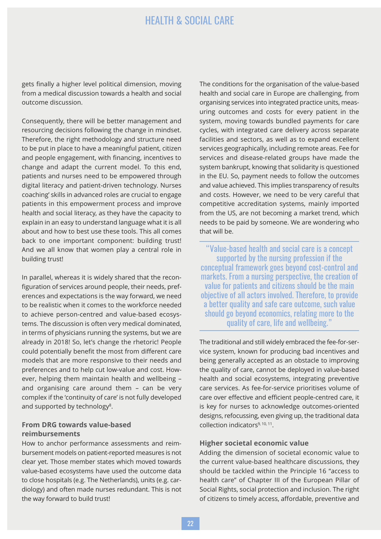gets finally a higher level political dimension, moving from a medical discussion towards a health and social outcome discussion.

Consequently, there will be better management and resourcing decisions following the change in mindset. Therefore, the right methodology and structure need to be put in place to have a meaningful patient, citizen and people engagement, with financing, incentives to change and adapt the current model. To this end, patients and nurses need to be empowered through digital literacy and patient-driven technology. Nurses coaching' skills in advanced roles are crucial to engage patients in this empowerment process and improve health and social literacy, as they have the capacity to explain in an easy to understand language what it is all about and how to best use these tools. This all comes back to one important component: building trust! And we all know that women play a central role in building trust!

In parallel, whereas it is widely shared that the reconfiguration of services around people, their needs, preferences and expectations is the way forward, we need to be realistic when it comes to the workforce needed to achieve person-centred and value-based ecosystems. The discussion is often very medical dominated, in terms of physicians running the systems, but we are already in 2018! So, let's change the rhetoric! People could potentially benefit the most from different care models that are more responsive to their needs and preferences and to help cut low-value and cost. However, helping them maintain health and wellbeing – and organising care around them – can be very complex if the 'continuity of care' is not fully developed and supported by technology<sup>8</sup>.

## **From DRG towards value-based reimbursements**

How to anchor performance assessments and reimbursement models on patient-reported measures is not clear yet. Those member states which moved towards value-based ecosystems have used the outcome data to close hospitals (e.g. The Netherlands), units (e.g. cardiology) and often made nurses redundant. This is not the way forward to build trust!

The conditions for the organisation of the value-based health and social care in Europe are challenging, from organising services into integrated practice units, measuring outcomes and costs for every patient in the system, moving towards bundled payments for care cycles, with integrated care delivery across separate facilities and sectors, as well as to expand excellent services geographically, including remote areas. Fee for services and disease-related groups have made the system bankrupt, knowing that solidarity is questioned in the EU. So, payment needs to follow the outcomes and value achieved. This implies transparency of results and costs. However, we need to be very careful that competitive accreditation systems, mainly imported from the US, are not becoming a market trend, which needs to be paid by someone. We are wondering who that will be.

"Value-based health and social care is a concept supported by the nursing profession if the conceptual framework goes beyond cost-control and markets. From a nursing perspective, the creation of value for patients and citizens should be the main objective of all actors involved. Therefore, to provide a better quality and safe care outcome, such value should go beyond economics, relating more to the quality of care, life and wellbeing."

The traditional and still widely embraced the fee-for-service system, known for producing bad incentives and being generally accepted as an obstacle to improving the quality of care, cannot be deployed in value-based health and social ecosystems, integrating preventive care services. As fee-for-service prioritises volume of care over effective and efficient people-centred care, it is key for nurses to acknowledge outcomes-oriented designs, refocussing, even giving up, the traditional data collection indicators<sup>9, 10, 11</sup>.

## **Higher societal economic value**

Adding the dimension of societal economic value to the current value-based healthcare discussions, they should be tackled within the Principle 16 "access to health care" of Chapter III of the European Pillar of Social Rights, social protection and inclusion. The right of citizens to timely access, affordable, preventive and